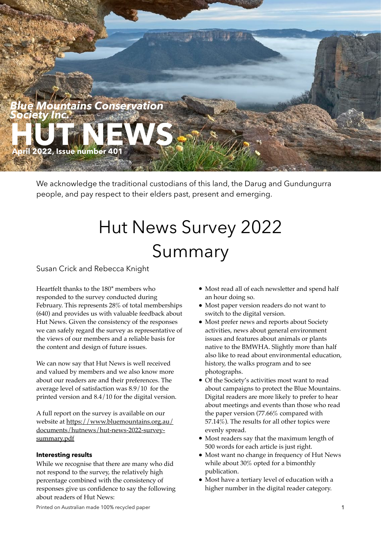

We acknowledge the traditional custodians of this land, the Darug and Gundungurra people, and pay respect to their elders past, present and emerging.

## Hut News Survey 2022 Summary

#### Susan Crick and Rebecca Knight

Heartfelt thanks to the 180\* members who responded to the survey conducted during February. This represents 28% of total memberships (640) and provides us with valuable feedback about Hut News. Given the consistency of the responses we can safely regard the survey as representative of the views of our members and a reliable basis for the content and design of future issues.

We can now say that Hut News is well received and valued by members and we also know more about our readers are and their preferences. The average level of satisfaction was 8.9/10 for the printed version and 8.4/10 for the digital version.

A full report on the survey is available on our [website at https://www.bluemountains.org.au/](https://www.bluemountains.org.au/documents/hutnews/hut-news-2022-survey-summary.pdf) [documents/hutnews/hut-news-2022-survey](https://www.bluemountains.org.au/documents/hutnews/hut-news-2022-survey-summary.pdf)[summary.pdf](https://www.bluemountains.org.au/documents/hutnews/hut-news-2022-survey-summary.pdf)

#### **Interesting results**

While we recognise that there are many who did not respond to the survey, the relatively high percentage combined with the consistency of responses give us confidence to say the following about readers of Hut News:

- Most read all of each newsletter and spend half an hour doing so.
- Most paper version readers do not want to switch to the digital version.
- Most prefer news and reports about Society activities, news about general environment issues and features about animals or plants native to the BMWHA. Slightly more than half also like to read about environmental education, history, the walks program and to see photographs.
- Of the Society's activities most want to read about campaigns to protect the Blue Mountains. Digital readers are more likely to prefer to hear about meetings and events than those who read the paper version (77.66% compared with 57.14%). The results for all other topics were evenly spread.
- Most readers say that the maximum length of 500 words for each article is just right.
- Most want no change in frequency of Hut News while about 30% opted for a bimonthly publication.
- Most have a tertiary level of education with a higher number in the digital reader category.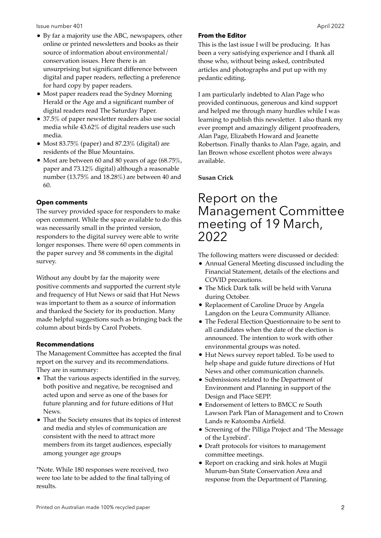Issue number 401 April 2022 and the state of the state of the state of the state of the state of the state of the state of the state of the state of the state of the state of the state of the state of the state of the stat

- By far a majority use the ABC, newspapers, other online or printed newsletters and books as their source of information about environmental/ conservation issues. Here there is an unsurprising but significant difference between digital and paper readers, reflecting a preference for hard copy by paper readers.
- Most paper readers read the Sydney Morning Herald or the Age and a significant number of digital readers read The Saturday Paper.
- 37.5% of paper newsletter readers also use social media while 43.62% of digital readers use such media.
- Most 83.75% (paper) and 87.23% (digital) are residents of the Blue Mountains.
- Most are between 60 and 80 years of age (68.75%, paper and 73.12% digital) although a reasonable number (13.75% and 18.28%) are between 40 and 60.

#### **Open comments**

The survey provided space for responders to make open comment. While the space available to do this was necessarily small in the printed version, responders to the digital survey were able to write longer responses. There were 60 open comments in the paper survey and 58 comments in the digital survey.

Without any doubt by far the majority were positive comments and supported the current style and frequency of Hut News or said that Hut News was important to them as a source of information and thanked the Society for its production. Many made helpful suggestions such as bringing back the column about birds by Carol Probets.

#### **Recommendations**

The Management Committee has accepted the final report on the survey and its recommendations. They are in summary:

- That the various aspects identified in the survey, both positive and negative, be recognised and acted upon and serve as one of the bases for future planning and for future editions of Hut News.
- That the Society ensures that its topics of interest and media and styles of communication are consistent with the need to attract more members from its target audiences, especially among younger age groups

\*Note. While 180 responses were received, two were too late to be added to the final tallying of results.

#### **From the Editor**

This is the last issue I will be producing. It has been a very satisfying experience and I thank all those who, without being asked, contributed articles and photographs and put up with my pedantic editing**.** 

I am particularly indebted to Alan Page who provided continuous, generous and kind support and helped me through many hurdles while I was learning to publish this newsletter. I also thank my ever prompt and amazingly diligent proofreaders, Alan Page, Elizabeth Howard and Jeanette Robertson. Finally thanks to Alan Page, again, and Ian Brown whose excellent photos were always available.

#### **Susan Crick**

### Report on the Management Committee meeting of 19 March, 2022

The following matters were discussed or decided:

- Annual General Meeting discussed including the Financial Statement, details of the elections and COVID precautions.
- The Mick Dark talk will be held with Varuna during October.
- Replacement of Caroline Druce by Angela Langdon on the Leura Community Alliance.
- The Federal Election Questionnaire to be sent to all candidates when the date of the election is announced. The intention to work with other environmental groups was noted.
- Hut News survey report tabled. To be used to help shape and guide future directions of Hut News and other communication channels.
- Submissions related to the Department of Environment and Planning in support of the Design and Place SEPP.
- Endorsement of letters to BMCC re South Lawson Park Plan of Management and to Crown Lands re Katoomba Airfield.
- Screening of the Pilliga Project and 'The Message of the Lyrebird'.
- Draft protocols for visitors to management committee meetings.
- Report on cracking and sink holes at Mugii Murum-ban State Conservation Area and response from the Department of Planning.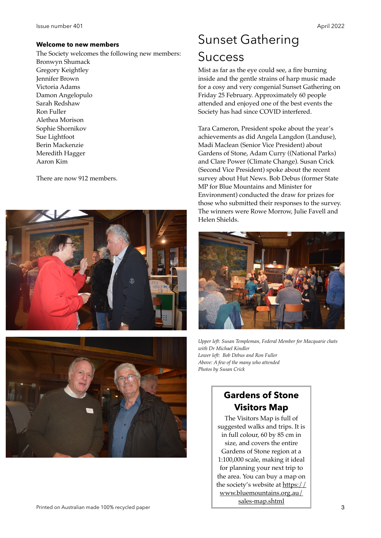#### **Welcome to new members**

The Society welcomes the following new members: Bronwyn Shumack Gregory Keightley Jennifer Brown Victoria Adams Damon Angelopulo Sarah Redshaw Ron Fuller Alethea Morison Sophie Shornikov Sue Lightfoot Berin Mackenzie Meredith Hagger Aaron Kim

There are now 912 members.





# Sunset Gathering

## Success

Mist as far as the eye could see, a fire burning inside and the gentle strains of harp music made for a cosy and very congenial Sunset Gathering on Friday 25 February. Approximately 60 people attended and enjoyed one of the best events the Society has had since COVID interfered.

Tara Cameron, President spoke about the year's achievements as did Angela Langdon (Landuse), Madi Maclean (Senior Vice President) about Gardens of Stone, Adam Curry ((National Parks) and Clare Power (Climate Change). Susan Crick (Second Vice President) spoke about the recent survey about Hut News. Bob Debus (former State MP for Blue Mountains and Minister for Environment) conducted the draw for prizes for those who submitted their responses to the survey. The winners were Rowe Morrow, Julie Favell and Helen Shields.



*Upper left: Susan Templeman, Federal Member for Macquarie chats with Dr Michael Kindler Lower left: Bob Debus and Ron Fuller Above: A few of the many who attended Photos by Susan Crick*

### **[Gardens of Stone](https://www.bluemountains.org.au/sales-map.shtml)  Visitors Map**

The Visitors Map is full of suggested walks and trips. It is in full colour, 60 by 85 cm in size, and covers the entire Gardens of Stone region at a 1:100,000 scale, making it ideal for planning your next trip to the area. You can buy a map on t[he society's website at https://](https://www.bluemountains.org.au/sales-map.shtml) [www.bluemountains.org.au/](https://www.bluemountains.org.au/sales-map.shtml) [sales-map.shtml](https://www.bluemountains.org.au/sales-map.shtml)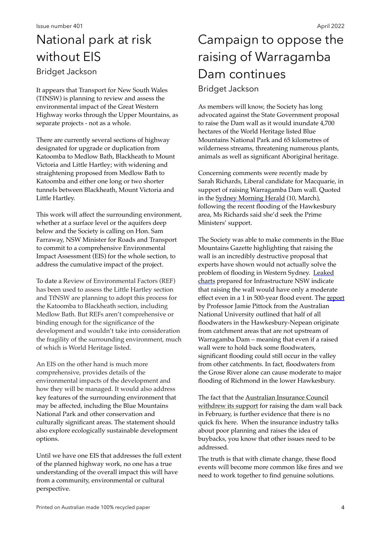## National park at risk without EIS Bridget Jackson

It appears that Transport for New South Wales (TfNSW) is planning to review and assess the environmental impact of the Great Western Highway works through the Upper Mountains, as separate projects - not as a whole.

There are currently several sections of highway designated for upgrade or duplication from Katoomba to Medlow Bath, Blackheath to Mount Victoria and Little Hartley; with widening and straightening proposed from Medlow Bath to Katoomba and either one long or two shorter tunnels between Blackheath, Mount Victoria and Little Hartley.

This work will affect the surrounding environment, whether at a surface level or the aquifers deep below and the Society is calling on Hon. Sam Farraway, NSW Minister for Roads and Transport to commit to a comprehensive Environmental Impact Assessment (EIS) for the whole section, to address the cumulative impact of the project.

To date a Review of Environmental Factors (REF) has been used to assess the Little Hartley section and TfNSW are planning to adopt this process for the Katoomba to Blackheath section, including Medlow Bath. But REFs aren't comprehensive or binding enough for the significance of the development and wouldn't take into consideration the fragility of the surrounding environment, much of which is World Heritage listed.

An EIS on the other hand is much more comprehensive, provides details of the environmental impacts of the development and how they will be managed. It would also address key features of the surrounding environment that may be affected, including the Blue Mountains National Park and other conservation and culturally significant areas. The statement should also explore ecologically sustainable development options.

Until we have one EIS that addresses the full extent of the planned highway work, no one has a true understanding of the overall impact this will have from a community, environmental or cultural perspective.

### Campaign to oppose the raising of Warragamba Dam continues Bridget Jackson

As members will know, the Society has long advocated against the State Government proposal to raise the Dam wall as it would inundate 4,700 hectares of the World Heritage listed Blue Mountains National Park and 65 kilometres of wilderness streams, threatening numerous plants, animals as well as significant Aboriginal heritage.

Concerning comments were recently made by Sarah Richards, Liberal candidate for Macquarie, in support of raising Warragamba Dam wall. Quoted in the [Sydney Morning Herald](https://www.smh.com.au/national/nsw/liberal-candidate-for-flooded-marginal-seat-calls-for-warragamba-wall-raising-20220309-p5a35x.html) (10, March), following the recent flooding of the Hawkesbury area, Ms Richards said she'd seek the Prime Ministers' support.

The Society was able to make comments in the Blue Mountains Gazette highlighting that raising the wall is an incredibly destructive proposal that experts have shown would not actually solve the problem of flooding in Western Sydney. [Leaked](https://www.smh.com.au/environment/conservation/leaked-charts-undercut-case-to-lift-warragamba-dam-wall-opponents-20190803-p52djf.html)  [charts](https://www.smh.com.au/environment/conservation/leaked-charts-undercut-case-to-lift-warragamba-dam-wall-opponents-20190803-p52djf.html) prepared for Infrastructure NSW indicate that raising the wall would have only a moderate effect even in a 1 in 500-year flood event. The [report](https://d3n8a8pro7vhmx.cloudfront.net/wildrivers/pages/87/attachments/original/1544355960/Professor_Jamie_Pittock_-_A_report_on_the_alternative_flood_management_measures.pdf?1544355960) by Professor Jamie Pittock from the Australian National University outlined that half of all floodwaters in the Hawkesbury-Nepean originate from catchment areas that are not upstream of Warragamba Dam – meaning that even if a raised wall were to hold back some floodwaters, significant flooding could still occur in the valley from other catchments. In fact, floodwaters from the Grose River alone can cause moderate to major flooding of Richmond in the lower Hawkesbury.

[The fact that the Australian Insurance Council](https://www.smh.com.au/environment/conservation/peak-insurance-body-drops-support-for-warragamba-dam-wall-raising-20210216-p572yu.html)  [withdrew its support](https://www.smh.com.au/environment/conservation/peak-insurance-body-drops-support-for-warragamba-dam-wall-raising-20210216-p572yu.html) for raising the dam wall back in February, is further evidence that there is no quick fix here. When the insurance industry talks about poor planning and raises the idea of buybacks, you know that other issues need to be addressed.

The truth is that with climate change, these flood events will become more common like fires and we need to work together to find genuine solutions.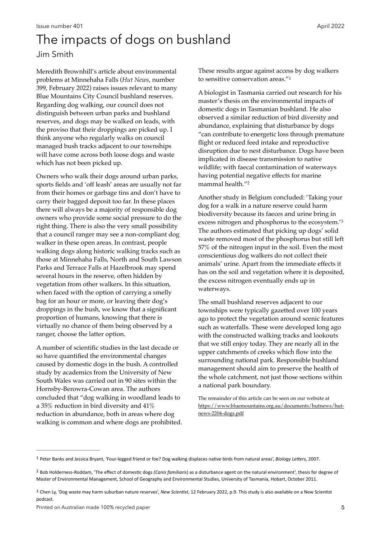## The impacts of dogs on bushland

#### Jim Smith

Meredith Brownhill's article about environmental problems at Minnehaha Falls (*Hut News*, number 399, February 2022) raises issues relevant to many Blue Mountains City Council bushland reserves. Regarding dog walking, our council does not distinguish between urban parks and bushland reserves, and dogs may be walked on leads, with the proviso that their droppings are picked up. I think anyone who regularly walks on council managed bush tracks adjacent to our townships will have come across both loose dogs and waste which has not been picked up.

Owners who walk their dogs around urban parks, sports fields and 'off leash' areas are usually not far from their homes or garbage tins and don't have to carry their bagged deposit too far. In these places there will always be a majority of responsible dog owners who provide some social pressure to do the right thing. There is also the very small possibility that a council ranger may see a non-compliant dog walker in these open areas. In contrast, people walking dogs along historic walking tracks such as those at Minnehaha Falls, North and South Lawson Parks and Terrace Falls at Hazelbrook may spend several hours in the reserve, often hidden by vegetation from other walkers. In this situation, when faced with the option of carrying a smelly bag for an hour or more, or leaving their dog's droppings in the bush, we know that a significant proportion of humans, knowing that there is virtually no chance of them being observed by a ranger, choose the latter option.

A number of scientific studies in the last decade or so have quantified the environmental changes caused by domestic dogs in the bush. A controlled study by academics from the University of New South Wales was carried out in 90 sites within the Hornsby-Berowra-Cowan area. The authors concluded that "dog walking in woodland leads to a 35% reduction in bird diversity and 41% reduction in abundance, both in areas where dog walking is common and where dogs are prohibited. <span id="page-4-3"></span>These results argue against access by dog walkers to sensitive conservation areas."[1](#page-4-0)

A biologist in Tasmania carried out research for his master's thesis on the environmental impacts of domestic dogs in Tasmanian bushland. He also observed a similar reduction of bird diversity and abundance, explaining that disturbance by dogs "can contribute to energetic loss through premature flight or reduced feed intake and reproductive disruption due to nest disturbance. Dogs have been implicated in disease transmission to native wildlife; with faecal contamination of waterways having potential negative effects for marine mammal health."[2](#page-4-1)

<span id="page-4-5"></span><span id="page-4-4"></span>Another study in Belgium concluded: 'Taking your dog for a walk in a nature reserve could harm biodiversity because its faeces and urine bring in excess nitrogen and phosphorus to the ecosystem.['3](#page-4-2) The authors estimated that picking up dogs' solid waste removed most of the phosphorus but still left 57% of the nitrogen input in the soil. Even the most conscientious dog walkers do not collect their animals' urine. Apart from the immediate effects it has on the soil and vegetation where it is deposited, the excess nitrogen eventually ends up in waterways.

The small bushland reserves adjacent to our townships were typically gazetted over 100 years ago to protect the vegetation around scenic features such as waterfalls. These were developed long ago with the constructed walking tracks and lookouts that we still enjoy today. They are nearly all in the upper catchments of creeks which flow into the surrounding national park. Responsible bushland management should aim to preserve the health of the whole catchment, not just those sections within a national park boundary.

The remainder of this article can be seen on our website at [https://www.bluemountains.org.au/documents/hutnews/hut](https://www.bluemountains.org.au/documents/hutnews/hut-news-2204-dogs.pdf)[news-2204-dogs.pdf](https://www.bluemountains.org.au/documents/hutnews/hut-news-2204-dogs.pdf)

<span id="page-4-0"></span>Peter Banks and Jessica Bryant, 'Four-legged friend or foe? Dog walking displaces native birds from natural areas', *Biology Letters,* 2007. [1](#page-4-3)

<span id="page-4-1"></span><sup>&</sup>lt;sup>[2](#page-4-4)</sup> Bob Holderness-Roddam, 'The effect of domestic dogs *(Canis familiaris*) as a disturbance agent on the natural environment', thesis for degree of Master of Environmental Management, School of Geography and Environmental Studies, University of Tasmania, Hobart, October 2011.

<span id="page-4-2"></span>Chen Ly, 'Dog waste may harm suburban nature reserves', *New Scientist*, 12 February 2022, p.9. This study is also available on a New Scientist [3](#page-4-5) podcast.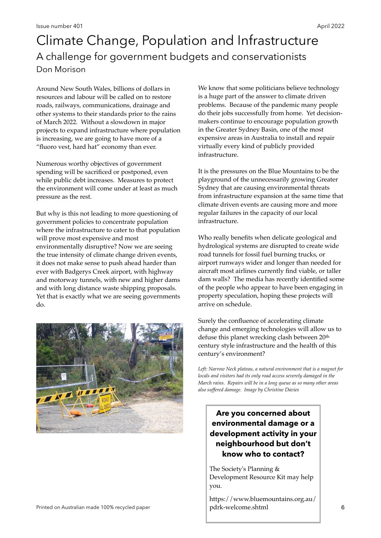### Climate Change, Population and Infrastructure A challenge for government budgets and conservationists Don Morison

Around New South Wales, billions of dollars in resources and labour will be called on to restore roads, railways, communications, drainage and other systems to their standards prior to the rains of March 2022. Without a slowdown in major projects to expand infrastructure where population is increasing, we are going to have more of a "fluoro vest, hard hat" economy than ever.

Numerous worthy objectives of government spending will be sacrificed or postponed, even while public debt increases. Measures to protect the environment will come under at least as much pressure as the rest.

But why is this not leading to more questioning of government policies to concentrate population where the infrastructure to cater to that population will prove most expensive and most environmentally disruptive? Now we are seeing the true intensity of climate change driven events, it does not make sense to push ahead harder than ever with Badgerys Creek airport, with highway and motorway tunnels, with new and higher dams and with long distance waste shipping proposals. Yet that is exactly what we are seeing governments do.



We know that some politicians believe technology is a huge part of the answer to climate driven problems. Because of the pandemic many people do their jobs successfully from home. Yet decisionmakers continue to encourage population growth in the Greater Sydney Basin, one of the most expensive areas in Australia to install and repair virtually every kind of publicly provided infrastructure.

It is the pressures on the Blue Mountains to be the playground of the unnecessarily growing Greater Sydney that are causing environmental threats from infrastructure expansion at the same time that climate driven events are causing more and more regular failures in the capacity of our local infrastructure.

Who really benefits when delicate geological and hydrological systems are disrupted to create wide road tunnels for fossil fuel burning trucks, or airport runways wider and longer than needed for aircraft most airlines currently find viable, or taller dam walls? The media has recently identified some of the people who appear to have been engaging in property speculation, hoping these projects will arrive on schedule.

Surely the confluence of accelerating climate change and emerging technologies will allow us to defuse this planet wrecking clash between 20<sup>th</sup> century style infrastructure and the health of this century's environment?

*Left: Narrow Neck plateau, a natural environment that is a magnet for locals and visitors had its only road access severely damaged in the March rains. Repairs will be in a long queue as so many other areas also suffered damage. Image by Christine Davies*

#### **Are you concerned about environmental damage or a development activity in your neighbourhood but don't know who to contact?**

The Society's Planning & Development Resource Kit may help you.

[https://www.bluemountains.org.au/](https://www.bluemountains.org.au/pdrk-welcome.shtml) [pdrk-welcome.shtml](https://www.bluemountains.org.au/pdrk-welcome.shtml)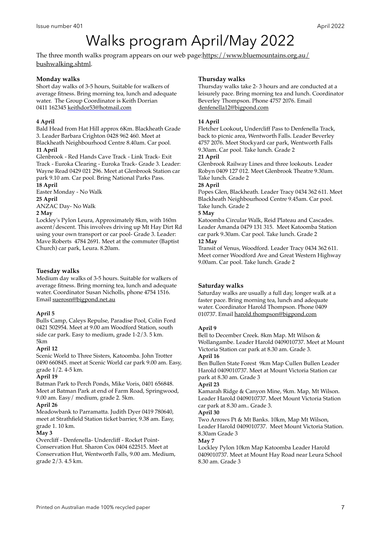## Walks program April/May 2022

The three month walks program appears on our web page[:https://www.bluemountains.org.au/](https://www.bluemountains.org.au/bushwalking.shtml) [bushwalking.shtml.](https://www.bluemountains.org.au/bushwalking.shtml)

#### **Monday walks**

Short day walks of 3-5 hours, Suitable for walkers of average fitness. Bring morning tea, lunch and adequate water. The Group Coordinator is Keith Dorrian 0411 162345 [keithdor53@hotmail.com](mailto:keithdor53@hotmail.com)

#### **4 April**

Bald Head from Hat Hill approx 6Km. Blackheath Grade 3. Leader Barbara Crighton 0428 962 460. Meet at Blackheath Neighbourhood Centre 8.40am. Car pool.

#### **11 April**

Glenbrook - Red Hands Cave Track - Link Track- Exit Track - Euroka Clearing - Euroka Track- Grade 3. Leader: Wayne Read 0429 021 296. Meet at Glenbrook Station car park 9.10 am. Car pool. Bring National Parks Pass. **18 April** 

Easter Monday - No Walk

**25 April**  ANZAC Day- No Walk

#### **2 May**

Lockley's Pylon Leura, Approximately 8km, with 160m ascent/descent. This involves driving up Mt Hay Dirt Rd using your own transport or car pool- Grade 3. Leader: Mave Roberts 4784 2691. Meet at the commuter (Baptist Church) car park, Leura. 8.20am.

#### **Tuesday walks**

Medium day walks of 3-5 hours. Suitable for walkers of average fitness. Bring morning tea, lunch and adequate water. Coordinator Susan Nicholls, phone 4754 1516. Email [suerosn@bigpond.net.au](mailto:suerosn@bigpond.net.au)

#### **April 5**

Bulls Camp, Caleys Repulse, Paradise Pool, Colin Ford 0421 502954. Meet at 9.00 am Woodford Station, south side car park. Easy to medium, grade 1-2/3. 5 km. 5km

#### **April 12**

Scenic World to Three Sisters, Katoomba. John Trotter 0490 660845. meet at Scenic World car park 9.00 am. Easy, grade 1/2. 4-5 km.

#### **April 19**

Batman Park to Perch Ponds, Mike Voris, 0401 656848. Meet at Batman Park at end of Farm Road, Springwood, 9.00 am. Easy/ medium, grade 2. 5km.

#### **April 26**

Meadowbank to Parramatta. Judith Dyer 0419 780640, meet at Strathfield Station ticket barrier, 9.38 am. Easy, grade 1. 10 km.

#### **May 3**

Overcliff - Denfenella- Undercliff - Rocket Point-Conservation Hut. Sharon Cox 0404 622515. Meet at Conservation Hut, Wentworth Falls, 9.00 am. Medium, grade 2/3. 4.5 km.

#### **Thursday walks**

Thursday walks take 2- 3 hours and are conducted at a leisurely pace. Bring morning tea and lunch. Coordinator Beverley Thompson. Phone 4757 2076. Email [denfenella12@bigpond.com](mailto:denfenella12@bigpond.com)

#### **14 April**

Fletcher Lookout**,** Undercliff Pass to Denfenella Track, back to picnic area, Wentworth Falls. Leader Beverley 4757 2076. Meet Stockyard car park, Wentworth Falls 9.30am. Car pool. Take lunch. Grade 2

#### **21 April**

Glenbrook Railway Lines and three lookouts. Leader Robyn 0409 127 012. Meet Glenbrook Theatre 9.30am. Take lunch. Grade 2

#### **28 April**

Popes Glen, Blackheath. Leader Tracy 0434 362 611. Meet Blackheath Neighbourhood Centre 9.45am. Car pool. Take lunch. Grade 2

#### **5 May**

Katoomba Circular Walk, Reid Plateau and Cascades. Leader Amanda 0479 131 315. Meet Katoomba Station car park 9.30am. Car pool. Take lunch. Grade 2 **12 May** 

Transit of Venus, Woodford. Leader Tracy 0434 362 611. Meet corner Woodford Ave and Great Western Highway 9.00am. Car pool. Take lunch. Grade 2

#### **Saturday walks**

Saturday walks are usually a full day, longer walk at a faster pace. Bring morning tea, lunch and adequate water. Coordinator Harold Thompson. Phone 0409 010737. Email [harold.thompson@bigpond.com](mailto:harold.thompson@bigpond.com)

#### **April 9**

Bell to December Creek. 8km Map. Mt Wilson & Wollangambe. Leader Harold 0409010737. Meet at Mount Victoria Station car park at 8.30 am. Grade 3.

#### **April 16**

Ben Bullen State Forest 9km Map Cullen Bullen Leader Harold 0409010737. Meet at Mount Victoria Station car park at 8.30 am. Grade 3

#### **April 23**

Kamarah Ridge & Canyon Mine, 9km. Map, Mt Wilson. Leader Harold 0409010737. Meet Mount Victoria Station car park at 8.30 am.. Grade 3.

#### **April 30**

Two Arrows Pt & Mt Banks. 10km, Map Mt Wilson, Leader Harold 0409010737. Meet Mount Victoria Station. 8.30am Grade 3

#### **May 7**

Lockley Pylon 10km Map Katoomba Leader Harold 0409010737. Meet at Mount Hay Road near Leura School 8.30 am. Grade 3